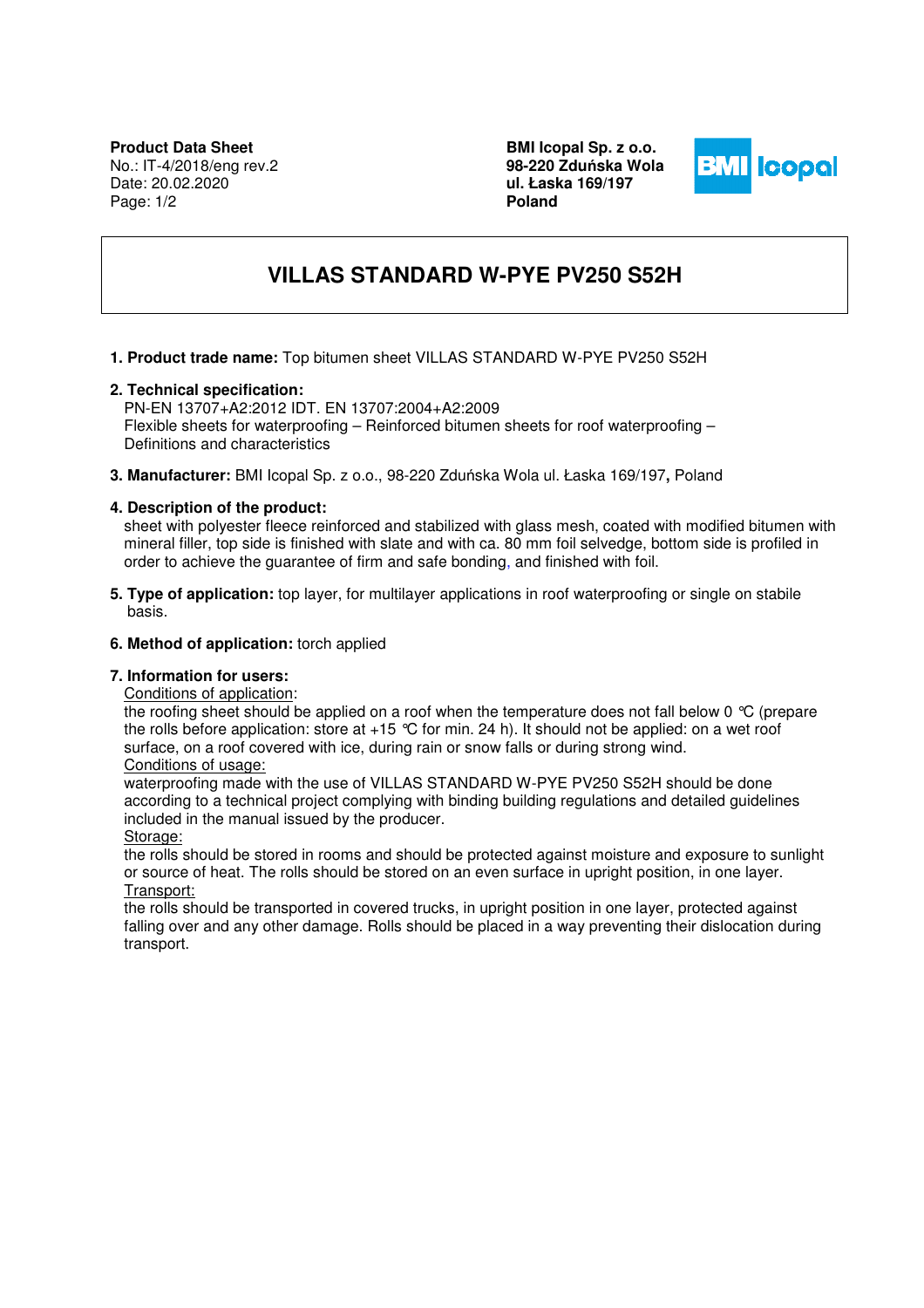**BMI Icopal Sp. z o.o. 98-220 Zdu**ń**ska Wola ul. Łaska 169/197 Poland** 



# **VILLAS STANDARD W-PYE PV250 S52H**

**1. Product trade name:** Top bitumen sheet VILLAS STANDARD W-PYE PV250 S52H

# **2. Technical specification:**

PN-EN 13707+A2:2012 IDT. EN 13707:2004+A2:2009 Flexible sheets for waterproofing – Reinforced bitumen sheets for roof waterproofing – Definitions and characteristics

**3. Manufacturer:** BMI Icopal Sp. z o.o., 98-220 Zduńska Wola ul. Łaska 169/197**,** Poland

# **4. Description of the product:**

sheet with polyester fleece reinforced and stabilized with glass mesh, coated with modified bitumen with mineral filler, top side is finished with slate and with ca. 80 mm foil selvedge, bottom side is profiled in order to achieve the guarantee of firm and safe bonding, and finished with foil.

**5. Type of application:** top layer, for multilayer applications in roof waterproofing or single on stabile basis.

# **6. Method of application:** torch applied

### **7. Information for users:**

Conditions of application:

the roofing sheet should be applied on a roof when the temperature does not fall below 0 °C (prepare the rolls before application: store at  $+15$  °C for min. 24 h). It should not be applied: on a wet roof surface, on a roof covered with ice, during rain or snow falls or during strong wind.

# Conditions of usage:

waterproofing made with the use of VILLAS STANDARD W-PYE PV250 S52H should be done according to a technical project complying with binding building regulations and detailed guidelines included in the manual issued by the producer.

Storage:

the rolls should be stored in rooms and should be protected against moisture and exposure to sunlight or source of heat. The rolls should be stored on an even surface in upright position, in one layer. Transport:

the rolls should be transported in covered trucks, in upright position in one layer, protected against falling over and any other damage. Rolls should be placed in a way preventing their dislocation during transport.